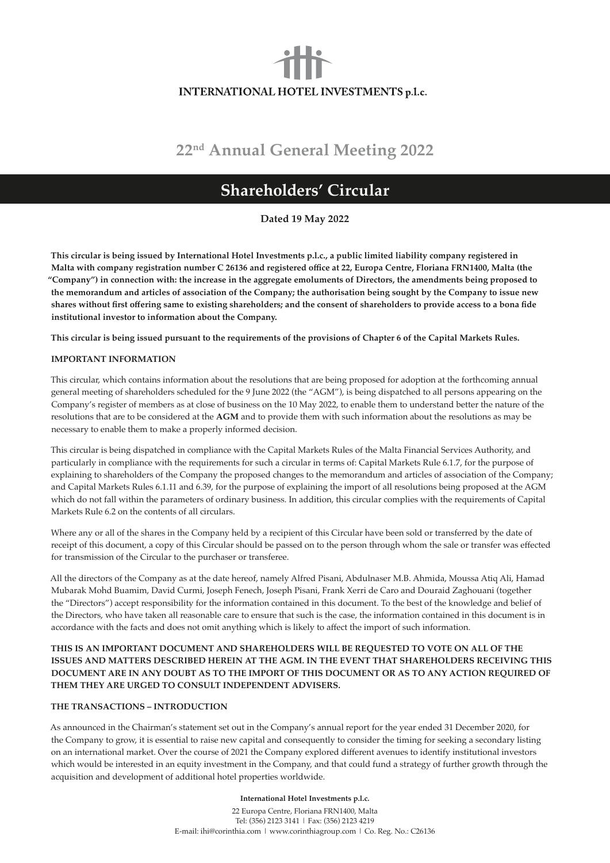# **INTERNATIONAL HOTEL INVESTMENTS p.l.c.**

# **22nd Annual General Meeting 2022**

# **Shareholders' Circular**

**Dated 19 May 2022**

**This circular is being issued by International Hotel Investments p.l.c., a public limited liability company registered in Malta with company registration number C 26136 and registered office at 22, Europa Centre, Floriana FRN1400, Malta (the "Company") in connection with: the increase in the aggregate emoluments of Directors, the amendments being proposed to the memorandum and articles of association of the Company; the authorisation being sought by the Company to issue new shares without first offering same to existing shareholders; and the consent of shareholders to provide access to a bona fide institutional investor to information about the Company.**

**This circular is being issued pursuant to the requirements of the provisions of Chapter 6 of the Capital Markets Rules.**

# **IMPORTANT INFORMATION**

This circular, which contains information about the resolutions that are being proposed for adoption at the forthcoming annual general meeting of shareholders scheduled for the 9 June 2022 (the "AGM"), is being dispatched to all persons appearing on the Company's register of members as at close of business on the 10 May 2022, to enable them to understand better the nature of the resolutions that are to be considered at the **AGM** and to provide them with such information about the resolutions as may be necessary to enable them to make a properly informed decision.

This circular is being dispatched in compliance with the Capital Markets Rules of the Malta Financial Services Authority, and particularly in compliance with the requirements for such a circular in terms of: Capital Markets Rule 6.1.7, for the purpose of explaining to shareholders of the Company the proposed changes to the memorandum and articles of association of the Company; and Capital Markets Rules 6.1.11 and 6.39, for the purpose of explaining the import of all resolutions being proposed at the AGM which do not fall within the parameters of ordinary business. In addition, this circular complies with the requirements of Capital Markets Rule 6.2 on the contents of all circulars.

Where any or all of the shares in the Company held by a recipient of this Circular have been sold or transferred by the date of receipt of this document, a copy of this Circular should be passed on to the person through whom the sale or transfer was effected for transmission of the Circular to the purchaser or transferee.

All the directors of the Company as at the date hereof, namely Alfred Pisani, Abdulnaser M.B. Ahmida, Moussa Atiq Ali, Hamad Mubarak Mohd Buamim, David Curmi, Joseph Fenech, Joseph Pisani, Frank Xerri de Caro and Douraid Zaghouani (together the "Directors") accept responsibility for the information contained in this document. To the best of the knowledge and belief of the Directors, who have taken all reasonable care to ensure that such is the case, the information contained in this document is in accordance with the facts and does not omit anything which is likely to affect the import of such information.

# **THIS IS AN IMPORTANT DOCUMENT AND SHAREHOLDERS WILL BE REQUESTED TO VOTE ON ALL OF THE ISSUES AND MATTERS DESCRIBED HEREIN AT THE AGM. IN THE EVENT THAT SHAREHOLDERS RECEIVING THIS DOCUMENT ARE IN ANY DOUBT AS TO THE IMPORT OF THIS DOCUMENT OR AS TO ANY ACTION REQUIRED OF THEM THEY ARE URGED TO CONSULT INDEPENDENT ADVISERS.**

## **THE TRANSACTIONS – INTRODUCTION**

As announced in the Chairman's statement set out in the Company's annual report for the year ended 31 December 2020, for the Company to grow, it is essential to raise new capital and consequently to consider the timing for seeking a secondary listing on an international market. Over the course of 2021 the Company explored different avenues to identify institutional investors which would be interested in an equity investment in the Company, and that could fund a strategy of further growth through the acquisition and development of additional hotel properties worldwide.

#### **International Hotel Investments p.l.c.**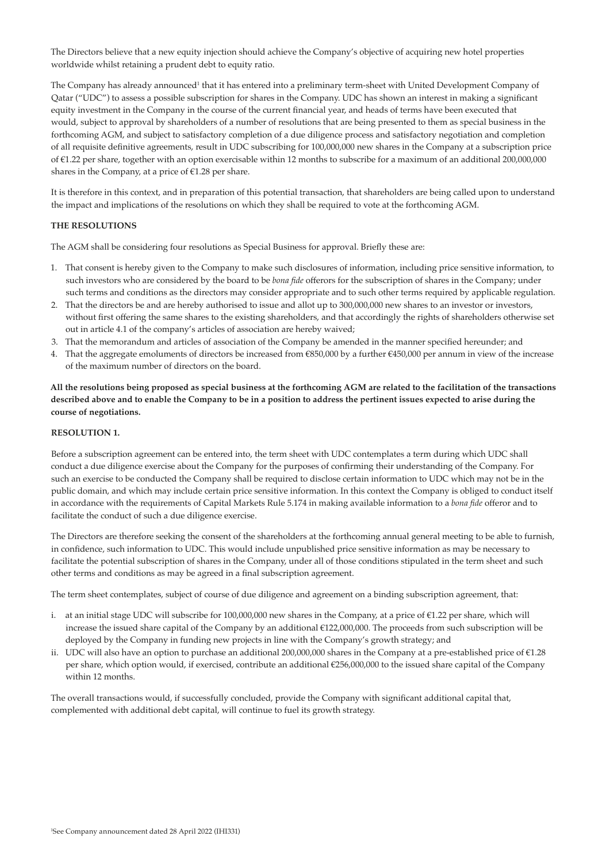The Directors believe that a new equity injection should achieve the Company's objective of acquiring new hotel properties worldwide whilst retaining a prudent debt to equity ratio.

The Company has already announced<sup>1</sup> that it has entered into a preliminary term-sheet with United Development Company of Qatar ("UDC") to assess a possible subscription for shares in the Company. UDC has shown an interest in making a significant equity investment in the Company in the course of the current financial year, and heads of terms have been executed that would, subject to approval by shareholders of a number of resolutions that are being presented to them as special business in the forthcoming AGM, and subject to satisfactory completion of a due diligence process and satisfactory negotiation and completion of all requisite definitive agreements, result in UDC subscribing for 100,000,000 new shares in the Company at a subscription price of €1.22 per share, together with an option exercisable within 12 months to subscribe for a maximum of an additional 200,000,000 shares in the Company, at a price of  $E$ 1.28 per share.

It is therefore in this context, and in preparation of this potential transaction, that shareholders are being called upon to understand the impact and implications of the resolutions on which they shall be required to vote at the forthcoming AGM.

# **THE RESOLUTIONS**

The AGM shall be considering four resolutions as Special Business for approval. Briefly these are:

- 1. That consent is hereby given to the Company to make such disclosures of information, including price sensitive information, to such investors who are considered by the board to be *bona fide* offerors for the subscription of shares in the Company; under such terms and conditions as the directors may consider appropriate and to such other terms required by applicable regulation.
- 2. That the directors be and are hereby authorised to issue and allot up to 300,000,000 new shares to an investor or investors, without first offering the same shares to the existing shareholders, and that accordingly the rights of shareholders otherwise set out in article 4.1 of the company's articles of association are hereby waived;
- 3. That the memorandum and articles of association of the Company be amended in the manner specified hereunder; and
- 4. That the aggregate emoluments of directors be increased from €850,000 by a further €450,000 per annum in view of the increase of the maximum number of directors on the board.

**All the resolutions being proposed as special business at the forthcoming AGM are related to the facilitation of the transactions described above and to enable the Company to be in a position to address the pertinent issues expected to arise during the course of negotiations.**

# **RESOLUTION 1.**

Before a subscription agreement can be entered into, the term sheet with UDC contemplates a term during which UDC shall conduct a due diligence exercise about the Company for the purposes of confirming their understanding of the Company. For such an exercise to be conducted the Company shall be required to disclose certain information to UDC which may not be in the public domain, and which may include certain price sensitive information. In this context the Company is obliged to conduct itself in accordance with the requirements of Capital Markets Rule 5.174 in making available information to a *bona fide* offeror and to facilitate the conduct of such a due diligence exercise.

The Directors are therefore seeking the consent of the shareholders at the forthcoming annual general meeting to be able to furnish, in confidence, such information to UDC. This would include unpublished price sensitive information as may be necessary to facilitate the potential subscription of shares in the Company, under all of those conditions stipulated in the term sheet and such other terms and conditions as may be agreed in a final subscription agreement.

The term sheet contemplates, subject of course of due diligence and agreement on a binding subscription agreement, that:

- i. at an initial stage UDC will subscribe for 100,000,000 new shares in the Company, at a price of  $\epsilon$ 1.22 per share, which will increase the issued share capital of the Company by an additional €122,000,000. The proceeds from such subscription will be deployed by the Company in funding new projects in line with the Company's growth strategy; and
- ii. UDC will also have an option to purchase an additional 200,000,000 shares in the Company at a pre-established price of €1.28 per share, which option would, if exercised, contribute an additional €256,000,000 to the issued share capital of the Company within 12 months.

The overall transactions would, if successfully concluded, provide the Company with significant additional capital that, complemented with additional debt capital, will continue to fuel its growth strategy.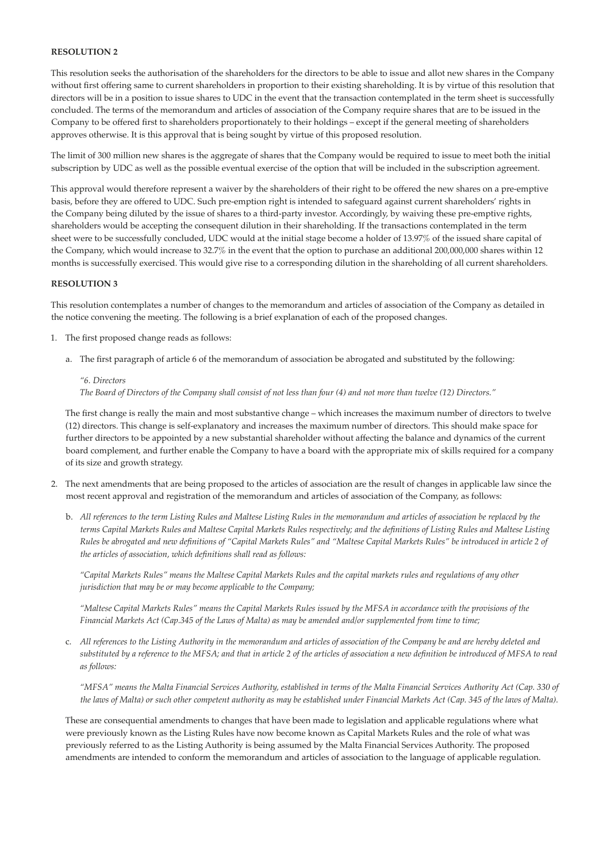# **RESOLUTION 2**

This resolution seeks the authorisation of the shareholders for the directors to be able to issue and allot new shares in the Company without first offering same to current shareholders in proportion to their existing shareholding. It is by virtue of this resolution that directors will be in a position to issue shares to UDC in the event that the transaction contemplated in the term sheet is successfully concluded. The terms of the memorandum and articles of association of the Company require shares that are to be issued in the Company to be offered first to shareholders proportionately to their holdings – except if the general meeting of shareholders approves otherwise. It is this approval that is being sought by virtue of this proposed resolution.

The limit of 300 million new shares is the aggregate of shares that the Company would be required to issue to meet both the initial subscription by UDC as well as the possible eventual exercise of the option that will be included in the subscription agreement.

This approval would therefore represent a waiver by the shareholders of their right to be offered the new shares on a pre-emptive basis, before they are offered to UDC. Such pre-emption right is intended to safeguard against current shareholders' rights in the Company being diluted by the issue of shares to a third-party investor. Accordingly, by waiving these pre-emptive rights, shareholders would be accepting the consequent dilution in their shareholding. If the transactions contemplated in the term sheet were to be successfully concluded, UDC would at the initial stage become a holder of 13.97% of the issued share capital of the Company, which would increase to 32.7% in the event that the option to purchase an additional 200,000,000 shares within 12 months is successfully exercised. This would give rise to a corresponding dilution in the shareholding of all current shareholders.

#### **RESOLUTION 3**

This resolution contemplates a number of changes to the memorandum and articles of association of the Company as detailed in the notice convening the meeting. The following is a brief explanation of each of the proposed changes.

- 1. The first proposed change reads as follows:
	- a. The first paragraph of article 6 of the memorandum of association be abrogated and substituted by the following:

# *"6. Directors The Board of Directors of the Company shall consist of not less than four (4) and not more than twelve (12) Directors."*

The first change is really the main and most substantive change – which increases the maximum number of directors to twelve (12) directors. This change is self-explanatory and increases the maximum number of directors. This should make space for further directors to be appointed by a new substantial shareholder without affecting the balance and dynamics of the current board complement, and further enable the Company to have a board with the appropriate mix of skills required for a company of its size and growth strategy.

- 2. The next amendments that are being proposed to the articles of association are the result of changes in applicable law since the most recent approval and registration of the memorandum and articles of association of the Company, as follows:
	- b. *All references to the term Listing Rules and Maltese Listing Rules in the memorandum and articles of association be replaced by the terms Capital Markets Rules and Maltese Capital Markets Rules respectively; and the definitions of Listing Rules and Maltese Listing Rules be abrogated and new definitions of "Capital Markets Rules" and "Maltese Capital Markets Rules" be introduced in article 2 of the articles of association, which definitions shall read as follows:*

*"Capital Markets Rules" means the Maltese Capital Markets Rules and the capital markets rules and regulations of any other jurisdiction that may be or may become applicable to the Company;*

*"Maltese Capital Markets Rules" means the Capital Markets Rules issued by the MFSA in accordance with the provisions of the Financial Markets Act (Cap.345 of the Laws of Malta) as may be amended and/or supplemented from time to time;* 

c. *All references to the Listing Authority in the memorandum and articles of association of the Company be and are hereby deleted and substituted by a reference to the MFSA; and that in article 2 of the articles of association a new definition be introduced of MFSA to read as follows:*

*"MFSA" means the Malta Financial Services Authority, established in terms of the Malta Financial Services Authority Act (Cap. 330 of the laws of Malta) or such other competent authority as may be established under Financial Markets Act (Cap. 345 of the laws of Malta).*

These are consequential amendments to changes that have been made to legislation and applicable regulations where what were previously known as the Listing Rules have now become known as Capital Markets Rules and the role of what was previously referred to as the Listing Authority is being assumed by the Malta Financial Services Authority. The proposed amendments are intended to conform the memorandum and articles of association to the language of applicable regulation.